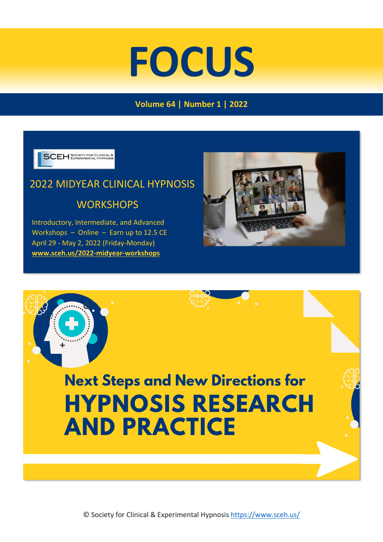# **FOCUS**

## **Volume 64 | Number 1 | 2022**

**SCEH** SOCIETY FOR CLINICAL

# 2022 MIDYEAR CLINICAL HYPNOSIS **WORKSHOPS**

 Introductory, Intermediate, and Advanced Workshops – Online – Earn up to 12.5 CE April 29 - May 2, 2022 (Friday-Monday)  **[www.sceh.us/2022-midyear-workshops](http://www.sceh.us/2022-midyear-workshops)**



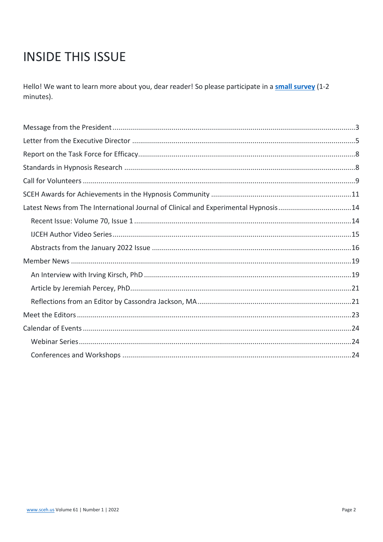# **INSIDE THIS ISSUE**

Hello! We want to learn more about you, dear reader! So please participate in a small survey (1-2 minutes).

| Latest News from The International Journal of Clinical and Experimental Hypnosis14 |  |
|------------------------------------------------------------------------------------|--|
|                                                                                    |  |
|                                                                                    |  |
|                                                                                    |  |
|                                                                                    |  |
|                                                                                    |  |
|                                                                                    |  |
|                                                                                    |  |
|                                                                                    |  |
|                                                                                    |  |
|                                                                                    |  |
|                                                                                    |  |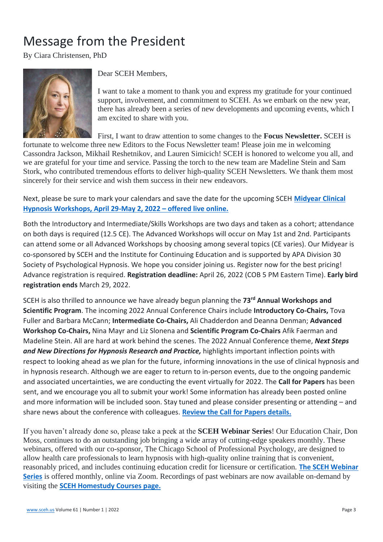# <span id="page-2-0"></span>Message from the President

By Ciara Christensen, PhD



Dear SCEH Members,

I want to take a moment to thank you and express my gratitude for your continued support, involvement, and commitment to SCEH. As we embark on the new year, there has already been a series of new developments and upcoming events, which I am excited to share with you.

First, I want to draw attention to some changes to the **Focus Newsletter.** SCEH is

fortunate to welcome three new Editors to the Focus Newsletter team! Please join me in welcoming Cassondra Jackson, Mikhail Reshetnikov, and Lauren Simicich! SCEH is honored to welcome you all, and we are grateful for your time and service. Passing the torch to the new team are Madeline Stein and Sam Stork, who contributed tremendous efforts to deliver high-quality SCEH Newsletters. We thank them most sincerely for their service and wish them success in their new endeavors.

Next, please be sure to mark your calendars and save the date for the upcoming SCEH **[Midyear Clinical](https://www.sceh.us/2022-midyear-workshops)  [Hypnosis Workshops, April 29-May 2, 2022](https://www.sceh.us/2022-midyear-workshops) – offered live online.**

Both the Introductory and Intermediate/Skills Workshops are two days and taken as a cohort; attendance on both days is required (12.5 CE). The Advanced Workshops will occur on May 1st and 2nd. Participants can attend some or all Advanced Workshops by choosing among several topics (CE varies). Our Midyear is co-sponsored by SCEH and the Institute for Continuing Education and is supported by APA Division 30 Society of Psychological Hypnosis. We hope you consider joining us. Register now for the best pricing! Advance registration is required. **Registration deadline:** April 26, 2022 (COB 5 PM Eastern Time). **Early bird registration ends** March 29, 2022.

SCEH is also thrilled to announce we have already begun planning the **73rd Annual Workshops and Scientific Program**. The incoming 2022 Annual Conference Chairs include **Introductory Co-Chairs,** Tova Fuller and Barbara McCann; **Intermediate Co-Chairs,** Ali Chadderdon and Deanna Denman; **Advanced Workshop Co-Chairs,** Nina Mayr and Liz Slonena and **Scientific Program Co-Chairs** Afik Faerman and Madeline Stein. All are hard at work behind the scenes. The 2022 Annual Conference theme, *Next Steps and New Directions for Hypnosis Research and Practice,* highlights important inflection points with respect to looking ahead as we plan for the future, informing innovations in the use of clinical hypnosis and in hypnosis research. Although we are eager to return to in-person events, due to the ongoing pandemic and associated uncertainties, we are conducting the event virtually for 2022. The **Call for Papers** has been sent, and we encourage you all to submit your work! Some information has already been posted online and more information will be included soon. Stay tuned and please consider presenting or attending – and share news about the conference with colleagues. **[Review the Call for Papers details.](https://www.sceh.us/2022-call-for-papers)**

If you haven't already done so, please take a peek at the **SCEH Webinar Series**! Our Education Chair, Don Moss, continues to do an outstanding job bringing a wide array of cutting-edge speakers monthly. These webinars, offered with our co-sponsor, The Chicago School of Professional Psychology, are designed to allow health care professionals to learn hypnosis with high-quality online training that is convenient, reasonably priced, and includes continuing education credit for licensure or certification. **[The SCEH Webinar](https://www.sceh.us/webinars)  [Series](https://www.sceh.us/webinars)** is offered monthly, online via Zoom. Recordings of past webinars are now available on-demand by visiting the **[SCEH Homestudy Courses page.](https://tcsppofficeofce.com/homestudy-courses/sceh)**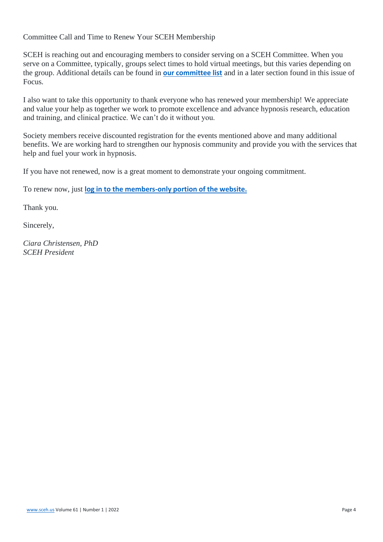Committee Call and Time to Renew Your SCEH Membership

SCEH is reaching out and encouraging members to consider serving on a SCEH Committee. When you serve on a Committee, typically, groups select times to hold virtual meetings, but this varies depending on the group. Additional details can be found in **[our committee list](https://www.sceh.us/leadership)** and in a later section found in this issue of Focus.

I also want to take this opportunity to thank everyone who has renewed your membership! We appreciate and value your help as together we work to promote excellence and advance hypnosis research, education and training, and clinical practice. We can't do it without you.

Society members receive discounted registration for the events mentioned above and many additional benefits. We are working hard to strengthen our hypnosis community and provide you with the services that help and fuel your work in hypnosis.

If you have not renewed, now is a great moment to demonstrate your ongoing commitment.

To renew now, just **[log in to the members-only portion of the website.](https://www.sceh.us/login#/login)**

Thank you.

Sincerely,

*Ciara Christensen, PhD SCEH President*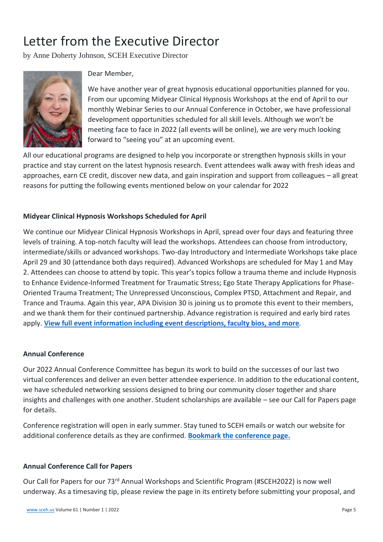# <span id="page-4-0"></span>Letter from the Executive Director

by Anne Doherty Johnson, SCEH Executive Director



Dear Member,

We have another year of great hypnosis educational opportunities planned for you. From our upcoming Midyear Clinical Hypnosis Workshops at the end of April to our monthly Webinar Series to our Annual Conference in October, we have professional development opportunities scheduled for all skill levels. Although we won't be meeting face to face in 2022 (all events will be online), we are very much looking forward to "seeing you" at an upcoming event.

All our educational programs are designed to help you incorporate or strengthen hypnosis skills in your practice and stay current on the latest hypnosis research. Event attendees walk away with fresh ideas and approaches, earn CE credit, discover new data, and gain inspiration and support from colleagues – all great reasons for putting the following events mentioned below on your calendar for 2022

#### **Midyear Clinical Hypnosis Workshops Scheduled for April**

We continue our Midyear Clinical Hypnosis Workshops in April, spread over four days and featuring three levels of training. A top-notch faculty will lead the workshops. Attendees can choose from introductory, intermediate/skills or advanced workshops. Two-day Introductory and Intermediate Workshops take place April 29 and 30 (attendance both days required). Advanced Workshops are scheduled for May 1 and May 2. Attendees can choose to attend by topic. This year's topics follow a trauma theme and include Hypnosis to Enhance Evidence-Informed Treatment for Traumatic Stress; Ego State Therapy Applications for Phase-Oriented Trauma Treatment; The Unrepressed Unconscious, Complex PTSD, Attachment and Repair, and Trance and Trauma. Again this year, APA Division 30 is joining us to promote this event to their members, and we thank them for their continued partnership. Advance registration is required and early bird rates apply. **[View full event information including event descriptions, faculty bios, and more](https://www.sceh.us/2022-midyear-workshops)***.*

#### **Annual Conference**

Our 2022 Annual Conference Committee has begun its work to build on the successes of our last two virtual conferences and deliver an even better attendee experience. In addition to the educational content, we have scheduled networking sessions designed to bring our community closer together and share insights and challenges with one another. Student scholarships are available – see our Call for Papers page for details.

Conference registration will open in early summer. Stay tuned to SCEH emails or watch our website for additional conference details as they are confirmed. **[Bookmark the conference page.](https://www.sceh.us/2022-conference-details)**

#### **Annual Conference Call for Papers**

Our Call for Papers for our 73rd Annual Workshops and Scientific Program (#SCEH2022) is now well underway. As a timesaving tip, please review the page in its entirety before submitting your proposal, and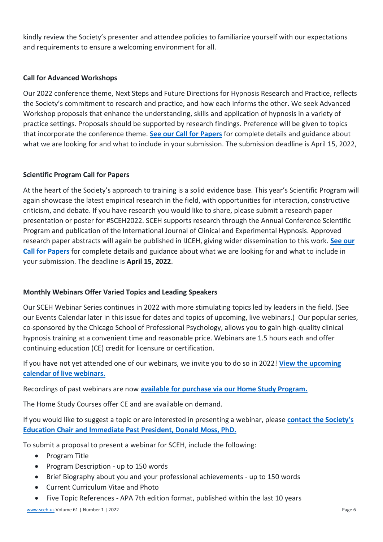kindly review the Society's presenter and attendee policies to familiarize yourself with our expectations and requirements to ensure a welcoming environment for all.

#### **Call for Advanced Workshops**

Our 2022 conference theme, Next Steps and Future Directions for Hypnosis Research and Practice, reflects the Society's commitment to research and practice, and how each informs the other. We seek Advanced Workshop proposals that enhance the understanding, skills and application of hypnosis in a variety of practice settings. Proposals should be supported by research findings. Preference will be given to topics that incorporate the conference theme. **[See our Call for Papers](https://www.sceh.us/2022-call-for-papers)** for complete details and guidance about what we are looking for and what to include in your submission. The submission deadline is April 15, 2022,

#### **Scientific Program Call for Papers**

At the heart of the Society's approach to training is a solid evidence base. This year's Scientific Program will again showcase the latest empirical research in the field, with opportunities for interaction, constructive criticism, and debate. If you have research you would like to share, please submit a research paper presentation or poster for #SCEH2022. SCEH supports research through the Annual Conference Scientific Program and publication of the International Journal of Clinical and Experimental Hypnosis. Approved research paper abstracts will again be published in IJCEH, giving wider dissemination to this work. **[See our](https://www.sceh.us/2022-call-for-papers)  [Call for Papers](https://www.sceh.us/2022-call-for-papers)** for complete details and guidance about what we are looking for and what to include in your submission. The deadline is **April 15, 2022**.

#### **Monthly Webinars Offer Varied Topics and Leading Speakers**

Our SCEH Webinar Series continues in 2022 with more stimulating topics led by leaders in the field. (See our Events Calendar later in this issue for dates and topics of upcoming, live webinars.) Our popular series, co-sponsored by the Chicago School of Professional Psychology, allows you to gain high-quality clinical hypnosis training at a convenient time and reasonable price. Webinars are 1.5 hours each and offer continuing education (CE) credit for licensure or certification.

If you have not yet attended one of our webinars, we invite you to do so in 2022! **[View the upcoming](https://www.sceh.us/)  [calendar of live webinars.](https://www.sceh.us/)**

Recordings of past webinars are now **[available for purchase via our Home Study Program.](https://tcsppofficeofce.com/homestudy-courses/sceh)**

The Home Study Courses offer CE and are available on demand.

If you would like to suggest a topic or are interested in presenting a webinar, please **[contact the Society's](mailto:moss@saybrook.edu)  [Education Chair and Immediate Past President, Donald Moss, PhD.](mailto:moss@saybrook.edu)**

To submit a proposal to present a webinar for SCEH, include the following:

- Program Title
- Program Description up to 150 words
- Brief Biography about you and your professional achievements up to 150 words
- Current Curriculum Vitae and Photo
- Five Topic References APA 7th edition format, published within the last 10 years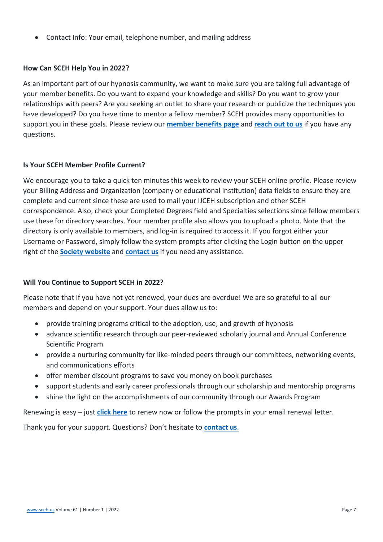• Contact Info: Your email, telephone number, and mailing address

#### **How Can SCEH Help You in 2022?**

As an important part of our hypnosis community, we want to make sure you are taking full advantage of your member benefits. Do you want to expand your knowledge and skills? Do you want to grow your relationships with peers? Are you seeking an outlet to share your research or publicize the techniques you have developed? Do you have time to mentor a fellow member? SCEH provides many opportunities to support you in these goals. Please review our **[member benefits page](https://www.sceh.us/membership-benefits)** and **[reach out to us](mailto:info@sceh.us)** if you have any questions.

#### **Is Your SCEH Member Profile Current?**

We encourage you to take a quick ten minutes this week to review your SCEH online profile. Please review your Billing Address and Organization (company or educational institution) data fields to ensure they are complete and current since these are used to mail your IJCEH subscription and other SCEH correspondence. Also, check your Completed Degrees field and Specialties selections since fellow members use these for directory searches. Your member profile also allows you to upload a photo. Note that the directory is only available to members, and log-in is required to access it. If you forgot either your Username or Password, simply follow the system prompts after clicking the Login button on the upper right of the **[Society website](https://www.sceh.us/)** and **[contact us](mailto:info@sceh.us)** if you need any assistance.

#### **Will You Continue to Support SCEH in 2022?**

Please note that if you have not yet renewed, your dues are overdue! We are so grateful to all our members and depend on your support. Your dues allow us to:

- provide training programs critical to the adoption, use, and growth of hypnosis
- advance scientific research through our peer-reviewed scholarly journal and Annual Conference Scientific Program
- provide a nurturing community for like-minded peers through our committees, networking events, and communications efforts
- offer member discount programs to save you money on book purchases
- support students and early career professionals through our scholarship and mentorship programs
- shine the light on the accomplishments of our community through our Awards Program

Renewing is easy – just **[click here](https://www.sceh.us/membership-renewal)** to renew now or follow the prompts in your email renewal letter.

Thank you for your support. Questions? Don't hesitate to **[contact us](mailto:info@sceh.us)**.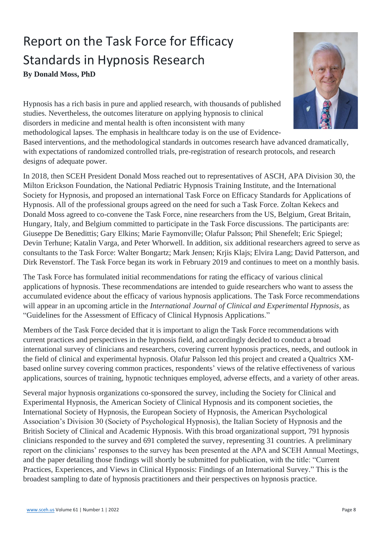# <span id="page-7-1"></span><span id="page-7-0"></span>Report on the Task Force for Efficacy Standards in Hypnosis Research **By Donald Moss, PhD**



Hypnosis has a rich basis in pure and applied research, with thousands of published studies. Nevertheless, the outcomes literature on applying hypnosis to clinical disorders in medicine and mental health is often inconsistent with many methodological lapses. The emphasis in healthcare today is on the use of Evidence-

Based interventions, and the methodological standards in outcomes research have advanced dramatically, with expectations of randomized controlled trials, pre-registration of research protocols, and research designs of adequate power.

In 2018, then SCEH President Donald Moss reached out to representatives of ASCH, APA Division 30, the Milton Erickson Foundation, the National Pediatric Hypnosis Training Institute, and the International Society for Hypnosis, and proposed an international Task Force on Efficacy Standards for Applications of Hypnosis. All of the professional groups agreed on the need for such a Task Force. Zoltan Kekecs and Donald Moss agreed to co-convene the Task Force, nine researchers from the US, Belgium, Great Britain, Hungary, Italy, and Belgium committed to participate in the Task Force discussions. The participants are: Giuseppe De Benedittis; Gary Elkins; Marie Faymonville; Olafur Palsson; Phil Shenefelt; Eric Spiegel; Devin Terhune; Katalin Varga, and Peter Whorwell. In addition, six additional researchers agreed to serve as consultants to the Task Force: Walter Bongartz; Mark Jensen; Krjis Klajs; Elvira Lang; David Patterson, and Dirk Revenstorf. The Task Force began its work in February 2019 and continues to meet on a monthly basis.

The Task Force has formulated initial recommendations for rating the efficacy of various clinical applications of hypnosis. These recommendations are intended to guide researchers who want to assess the accumulated evidence about the efficacy of various hypnosis applications. The Task Force recommendations will appear in an upcoming article in the *International Journal of Clinical and Experimental Hypnosis*, as "Guidelines for the Assessment of Efficacy of Clinical Hypnosis Applications."

Members of the Task Force decided that it is important to align the Task Force recommendations with current practices and perspectives in the hypnosis field, and accordingly decided to conduct a broad international survey of clinicians and researchers, covering current hypnosis practices, needs, and outlook in the field of clinical and experimental hypnosis. Olafur Palsson led this project and created a Qualtrics XMbased online survey covering common practices, respondents' views of the relative effectiveness of various applications, sources of training, hypnotic techniques employed, adverse effects, and a variety of other areas.

Several major hypnosis organizations co-sponsored the survey, including the Society for Clinical and Experimental Hypnosis, the American Society of Clinical Hypnosis and its component societies, the International Society of Hypnosis, the European Society of Hypnosis, the American Psychological Association's Division 30 (Society of Psychological Hypnosis), the Italian Society of Hypnosis and the British Society of Clinical and Academic Hypnosis. With this broad organizational support, 791 hypnosis clinicians responded to the survey and 691 completed the survey, representing 31 countries. A preliminary report on the clinicians' responses to the survey has been presented at the APA and SCEH Annual Meetings, and the paper detailing those findings will shortly be submitted for publication, with the title: "Current Practices, Experiences, and Views in Clinical Hypnosis: Findings of an International Survey." This is the broadest sampling to date of hypnosis practitioners and their perspectives on hypnosis practice.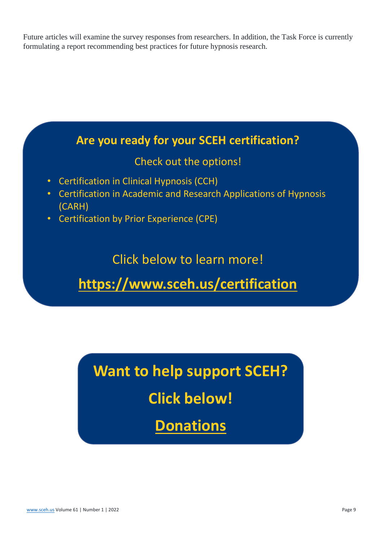<span id="page-8-0"></span>Future articles will examine the survey responses from researchers. In addition, the Task Force is currently formulating a report recommending best practices for future hypnosis research.



**Want to help support SCEH?** 

**Click below!**

**[Donations](file:///E:/downloads/Donations)**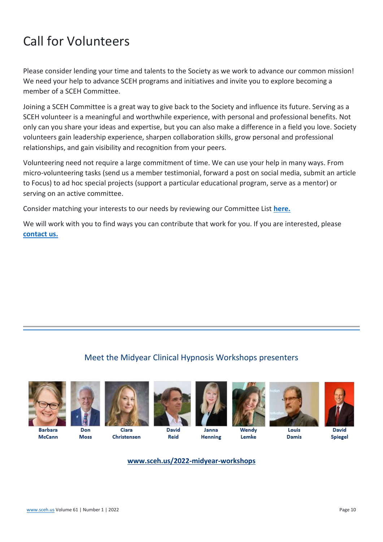# Call for Volunteers

Please consider lending your time and talents to the Society as we work to advance our common mission! We need your help to advance SCEH programs and initiatives and invite you to explore becoming a member of a SCEH Committee.

Joining a SCEH Committee is a great way to give back to the Society and influence its future. Serving as a SCEH volunteer is a meaningful and worthwhile experience, with personal and professional benefits. Not only can you share your ideas and expertise, but you can also make a difference in a field you love. Society volunteers gain leadership experience, sharpen collaboration skills, grow personal and professional relationships, and gain visibility and recognition from your peers.

Volunteering need not require a large commitment of time. We can use your help in many ways. From micro-volunteering tasks (send us a member testimonial, forward a post on social media, submit an article to Focus) to ad hoc special projects (support a particular educational program, serve as a mentor) or serving on an active committee.

Consider matching your interests to our needs by reviewing our Committee List **[here.](https://www.sceh.us/Committees)**

We will work with you to find ways you can contribute that work for you. If you are interested, please **[contact us.](mailto:info@sceh.us)**

## Meet the Midyear Clinical Hypnosis Workshops presenters





**Barbara McCann** 



Christensen

Don **Moss** 



**David** Reid



Janna Henning



Wendy Lemke





**Damis** 



David **Spiegel** 

#### **[www.sceh.us/2022-midyear-workshops](http://www.sceh.us/2022-midyear-workshops)**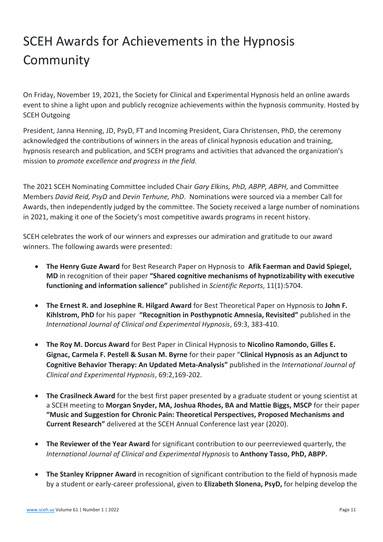# <span id="page-10-0"></span>SCEH Awards for Achievements in the Hypnosis Community

On Friday, November 19, 2021, the Society for Clinical and Experimental Hypnosis held an online awards event to shine a light upon and publicly recognize achievements within the hypnosis community. Hosted by SCEH Outgoing

President, Janna Henning, JD, PsyD, FT and Incoming President, Ciara Christensen, PhD, the ceremony acknowledged the contributions of winners in the areas of clinical hypnosis education and training, hypnosis research and publication, and SCEH programs and activities that advanced the organization's mission to *promote excellence and progress in the field.* 

The 2021 SCEH Nominating Committee included Chair *Gary Elkins, PhD, ABPP, ABPH,* and Committee Members *David Reid, PsyD* and *Devin Terhune, PhD*. Nominations were sourced via a member Call for Awards, then independently judged by the committee. The Society received a large number of nominations in 2021, making it one of the Society's most competitive awards programs in recent history.

SCEH celebrates the work of our winners and expresses our admiration and gratitude to our award winners. The following awards were presented:

- **The Henry Guze Award** for Best Research Paper on Hypnosis to **Afik Faerman and David Spiegel, MD** in recognition of their paper **"Shared cognitive mechanisms of hypnotizability with executive functioning and information salience"** published in *Scientific Reports*, 11(1):5704.
- **The Ernest R. and Josephine R. Hilgard Award** for Best Theoretical Paper on Hypnosis to **John F. Kihlstrom, PhD** for his paper **"Recognition in Posthypnotic Amnesia, Revisited"** published in the *International Journal of Clinical and Experimental Hypnosis*, 69:3, 383-410.
- **The Roy M. Dorcus Award** for Best Paper in Clinical Hypnosis to **Nicolino Ramondo, Gilles E. Gignac, Carmela F. Pestell & Susan M. Byrne** for their paper "**Clinical Hypnosis as an Adjunct to Cognitive Behavior Therapy: An Updated Meta-Analysis"** published in the *International Journal of Clinical and Experimental Hypnosis*, 69:2,169-202.
- **The Crasilneck Award** for the best first paper presented by a graduate student or young scientist at a SCEH meeting to **Morgan Snyder, MA, Joshua Rhodes, BA and Mattie Biggs, MSCP** for their paper **"Music and Suggestion for Chronic Pain: Theoretical Perspectives, Proposed Mechanisms and Current Research"** delivered at the SCEH Annual Conference last year (2020).
- **The Reviewer of the Year Award** for significant contribution to our peerreviewed quarterly, the *International Journal of Clinical and Experimental Hypnosis* to **Anthony Tasso, PhD, ABPP.**
- **The Stanley Krippner Award** in recognition of significant contribution to the field of hypnosis made by a student or early-career professional, given to **Elizabeth Slonena, PsyD,** for helping develop the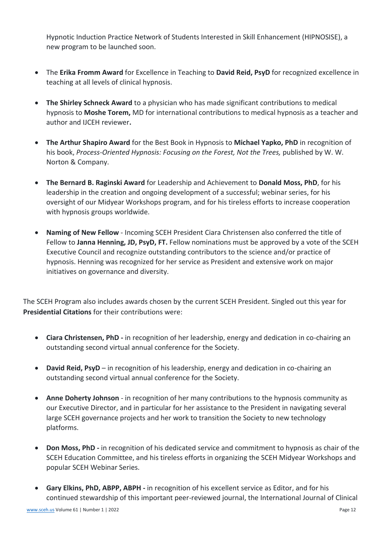Hypnotic Induction Practice Network of Students Interested in Skill Enhancement (HIPNOSISE), a new program to be launched soon.

- The **Erika Fromm Award** for Excellence in Teaching to **David Reid, PsyD** for recognized excellence in teaching at all levels of clinical hypnosis.
- **The Shirley Schneck Award** to a physician who has made significant contributions to medical hypnosis to **Moshe Torem,** MD for international contributions to medical hypnosis as a teacher and author and IJCEH reviewer**.**
- **The Arthur Shapiro Award** for the Best Book in Hypnosis to **Michael Yapko, PhD** in recognition of his book, *Process-Oriented Hypnosis: Focusing on the Forest, Not the Trees,* published by W. W. Norton & Company.
- **The Bernard B. Raginski Award** for Leadership and Achievement to **Donald Moss, PhD**, for his leadership in the creation and ongoing development of a successful; webinar series, for his oversight of our Midyear Workshops program, and for his tireless efforts to increase cooperation with hypnosis groups worldwide.
- **Naming of New Fellow** Incoming SCEH President Ciara Christensen also conferred the title of Fellow to **Janna Henning, JD, PsyD, FT.** Fellow nominations must be approved by a vote of the SCEH Executive Council and recognize outstanding contributors to the science and/or practice of hypnosis. Henning was recognized for her service as President and extensive work on major initiatives on governance and diversity.

The SCEH Program also includes awards chosen by the current SCEH President. Singled out this year for **Presidential Citations** for their contributions were:

- **Ciara Christensen, PhD -** in recognition of her leadership, energy and dedication in co-chairing an outstanding second virtual annual conference for the Society.
- **David Reid, PsyD**  in recognition of his leadership, energy and dedication in co-chairing an outstanding second virtual annual conference for the Society.
- **Anne Doherty Johnson**  in recognition of her many contributions to the hypnosis community as our Executive Director, and in particular for her assistance to the President in navigating several large SCEH governance projects and her work to transition the Society to new technology platforms.
- **Don Moss, PhD -** in recognition of his dedicated service and commitment to hypnosis as chair of the SCEH Education Committee, and his tireless efforts in organizing the SCEH Midyear Workshops and popular SCEH Webinar Series.
- **Gary Elkins, PhD, ABPP, ABPH -** in recognition of his excellent service as Editor, and for his continued stewardship of this important peer-reviewed journal, the International Journal of Clinical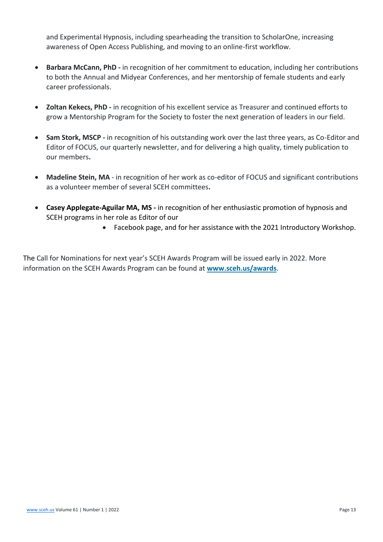and Experimental Hypnosis, including spearheading the transition to ScholarOne, increasing awareness of Open Access Publishing, and moving to an online-first workflow.

- **Barbara McCann, PhD -** in recognition of her commitment to education, including her contributions to both the Annual and Midyear Conferences, and her mentorship of female students and early career professionals.
- **Zoltan Kekecs, PhD -** in recognition of his excellent service as Treasurer and continued efforts to grow a Mentorship Program for the Society to foster the next generation of leaders in our field.
- **Sam Stork, MSCP -** in recognition of his outstanding work over the last three years, as Co-Editor and Editor of FOCUS, our quarterly newsletter, and for delivering a high quality, timely publication to our members**.**
- **Madeline Stein, MA**  in recognition of her work as co-editor of FOCUS and significant contributions as a volunteer member of several SCEH committees**.**
- **Casey Applegate-Aguilar MA, MS -** in recognition of her enthusiastic promotion of hypnosis and SCEH programs in her role as Editor of our
	- Facebook page, and for her assistance with the 2021 Introductory Workshop.

The Call for Nominations for next year's SCEH Awards Program will be issued early in 2022. More information on the SCEH Awards Program can be found at **[www.sceh.us/awards](http://www.sceh.us/awards)**[.](http://www.sceh.us/awards)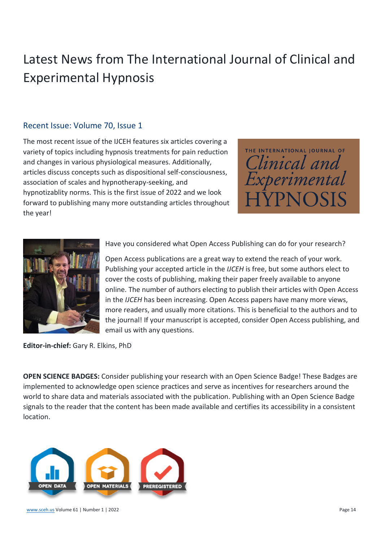# <span id="page-13-0"></span>Latest News from The International Journal of Clinical and Experimental Hypnosis

## <span id="page-13-1"></span>Recent Issue: Volume 70, Issue 1

The most recent issue of the IJCEH features six articles covering a variety of topics including hypnosis treatments for pain reduction and changes in various physiological measures. Additionally, articles discuss concepts such as dispositional self-consciousness, association of scales and hypnotherapy-seeking, and hypnotizablity norms. This is the first issue of 2022 and we look forward to publishing many more outstanding articles throughout the year!





Have you considered what Open Access Publishing can do for your research?

Open Access publications are a great way to extend the reach of your work. Publishing your accepted article in the *IJCEH* is free, but some authors elect to cover the costs of publishing, making their paper freely available to anyone online. The number of authors electing to publish their articles with Open Access in the *IJCEH* has been increasing. Open Access papers have many more views, more readers, and usually more citations. This is beneficial to the authors and to the journal! If your manuscript is accepted, consider Open Access publishing, and email us with any questions.

**Editor-in-chief:** Gary R. Elkins, PhD

**OPEN SCIENCE BADGES:** Consider publishing your research with an Open Science Badge! These Badges are implemented to acknowledge open science practices and serve as incentives for researchers around the world to share data and materials associated with the publication. Publishing with an Open Science Badge signals to the reader that the content has been made available and certifies its accessibility in a consistent location.

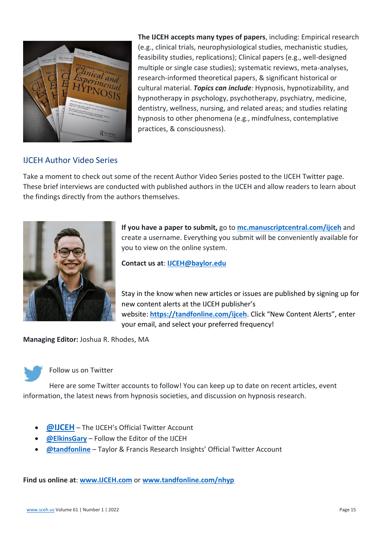

**The IJCEH accepts many types of papers**, including: Empirical research (e.g., clinical trials, neurophysiological studies, mechanistic studies, feasibility studies, replications); Clinical papers (e.g., well-designed multiple or single case studies); systematic reviews, meta-analyses, research-informed theoretical papers, & significant historical or cultural material. *Topics can include:* Hypnosis, hypnotizability, and hypnotherapy in psychology, psychotherapy, psychiatry, medicine, dentistry, wellness, nursing, and related areas; and studies relating hypnosis to other phenomena (e.g., mindfulness, contemplative practices, & consciousness).

#### <span id="page-14-0"></span>IJCEH Author Video Series

Take a moment to check out some of the recent Author Video Series posted to the IJCEH Twitter page. These brief interviews are conducted with published authors in the IJCEH and allow readers to learn about the findings directly from the authors themselves.



**If you have a paper to submit,** go to **[mc.manuscriptcentral.com/ijceh](http://mc.manuscriptcentral.com/ijceh)** and create a username. Everything you submit will be conveniently available for you to view on the online system.

**Contact us at**: **[IJCEH@baylor.edu](mailto:IJCEH@baylor.edu)**

Stay in the know when new articles or issues are published by signing up for new content alerts at the IJCEH publisher's website: **<https://tandfonline.com/ijceh>**. Click "New Content Alerts", enter your email, and select your preferred frequency!

**Managing Editor:** Joshua R. Rhodes, MA



#### Follow us on Twitter

Here are some Twitter accounts to follow! You can keep up to date on recent articles, event information, the latest news from hypnosis societies, and discussion on hypnosis research.

- **[@IJCEH](http://www.twitter.com/ijceh)** The IJCEH's Official Twitter Account
- **[@ElkinsGary](http://www.twitter.com/ElkinsGary)** Follow the Editor of the IJCEH
- **[@tandfonline](http://www.twitter.com/tandfonline)** Taylor & Francis Research Insights' Official Twitter Account

**Find us online at**: **[www.IJCEH.com](http://www.ijceh.com/)** or **[www.tandfonline.com/nhyp](http://www.tandfonline.com/nhyp)**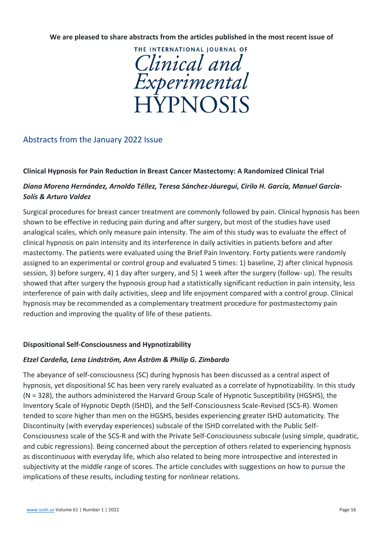**We are pleased to share abstracts from the articles published in the most recent issue of**



## <span id="page-15-0"></span>Abstracts from the January 2022 Issue

#### **Clinical Hypnosis for Pain Reduction in Breast Cancer Mastectomy: A Randomized Clinical Trial**

#### *Diana Moreno Hernández, Arnoldo Téllez, Teresa Sánchez-Jáuregui, Cirilo H. García, Manuel García-Solís & Arturo Valdez*

Surgical procedures for breast cancer treatment are commonly followed by pain. Clinical hypnosis has been shown to be effective in reducing pain during and after surgery, but most of the studies have used analogical scales, which only measure pain intensity. The aim of this study was to evaluate the effect of clinical hypnosis on pain intensity and its interference in daily activities in patients before and after mastectomy. The patients were evaluated using the Brief Pain Inventory. Forty patients were randomly assigned to an experimental or control group and evaluated 5 times: 1) baseline, 2) after clinical hypnosis session, 3) before surgery, 4) 1 day after surgery, and 5) 1 week after the surgery (follow- up). The results showed that after surgery the hypnosis group had a statistically significant reduction in pain intensity, less interference of pain with daily activities, sleep and life enjoyment compared with a control group. Clinical hypnosis may be recommended as a complementary treatment procedure for postmastectomy pain reduction and improving the quality of life of these patients.

#### **Dispositional Self-Consciousness and Hypnotizability**

#### *Etzel Cardeña, Lena Lindström, Ann Åström & Philip G. Zimbardo*

The abeyance of self-consciousness (SC) during hypnosis has been discussed as a central aspect of hypnosis, yet dispositional SC has been very rarely evaluated as a correlate of hypnotizability. In this study (N = 328), the authors administered the Harvard Group Scale of Hypnotic Susceptibility (HGSHS), the Inventory Scale of Hypnotic Depth (ISHD), and the Self-Consciousness Scale-Revised (SCS-R). Women tended to score higher than men on the HGSHS, besides experiencing greater ISHD automaticity. The Discontinuity (with everyday experiences) subscale of the ISHD correlated with the Public Self-Consciousness scale of the SCS-R and with the Private Self-Consciousness subscale (using simple, quadratic, and cubic regressions). Being concerned about the perception of others related to experiencing hypnosis as discontinuous with everyday life, which also related to being more introspective and interested in subjectivity at the middle range of scores. The article concludes with suggestions on how to pursue the implications of these results, including testing for nonlinear relations.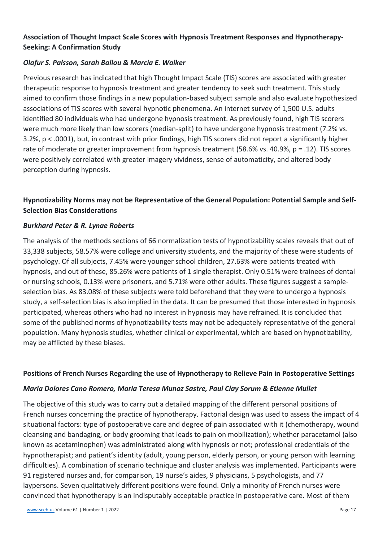#### **Association of Thought Impact Scale Scores with Hypnosis Treatment Responses and Hypnotherapy-Seeking: A Confirmation Study**

#### *Olafur S. Palsson, Sarah Ballou & Marcia E. Walker*

Previous research has indicated that high Thought Impact Scale (TIS) scores are associated with greater therapeutic response to hypnosis treatment and greater tendency to seek such treatment. This study aimed to confirm those findings in a new population-based subject sample and also evaluate hypothesized associations of TIS scores with several hypnotic phenomena. An internet survey of 1,500 U.S. adults identified 80 individuals who had undergone hypnosis treatment. As previously found, high TIS scorers were much more likely than low scorers (median-split) to have undergone hypnosis treatment (7.2% vs. 3.2%, p < .0001), but, in contrast with prior findings, high TIS scorers did not report a significantly higher rate of moderate or greater improvement from hypnosis treatment (58.6% vs. 40.9%, p = .12). TIS scores were positively correlated with greater imagery vividness, sense of automaticity, and altered body perception during hypnosis.

#### **Hypnotizability Norms may not be Representative of the General Population: Potential Sample and Self-Selection Bias Considerations**

#### *Burkhard Peter & R. Lynae Roberts*

The analysis of the methods sections of 66 normalization tests of hypnotizability scales reveals that out of 33,338 subjects, 58.57% were college and university students, and the majority of these were students of psychology. Of all subjects, 7.45% were younger school children, 27.63% were patients treated with hypnosis, and out of these, 85.26% were patients of 1 single therapist. Only 0.51% were trainees of dental or nursing schools, 0.13% were prisoners, and 5.71% were other adults. These figures suggest a sampleselection bias. As 83.08% of these subjects were told beforehand that they were to undergo a hypnosis study, a self-selection bias is also implied in the data. It can be presumed that those interested in hypnosis participated, whereas others who had no interest in hypnosis may have refrained. It is concluded that some of the published norms of hypnotizability tests may not be adequately representative of the general population. Many hypnosis studies, whether clinical or experimental, which are based on hypnotizability, may be afflicted by these biases.

#### **Positions of French Nurses Regarding the use of Hypnotherapy to Relieve Pain in Postoperative Settings**

#### *Maria Dolores Cano Romero, Maria Teresa Munoz Sastre, Paul Clay Sorum & Etienne Mullet*

The objective of this study was to carry out a detailed mapping of the different personal positions of French nurses concerning the practice of hypnotherapy. Factorial design was used to assess the impact of 4 situational factors: type of postoperative care and degree of pain associated with it (chemotherapy, wound cleansing and bandaging, or body grooming that leads to pain on mobilization); whether paracetamol (also known as acetaminophen) was administrated along with hypnosis or not; professional credentials of the hypnotherapist; and patient's identity (adult, young person, elderly person, or young person with learning difficulties). A combination of scenario technique and cluster analysis was implemented. Participants were 91 registered nurses and, for comparison, 19 nurse's aides, 9 physicians, 5 psychologists, and 77 laypersons. Seven qualitatively different positions were found. Only a minority of French nurses were convinced that hypnotherapy is an indisputably acceptable practice in postoperative care. Most of them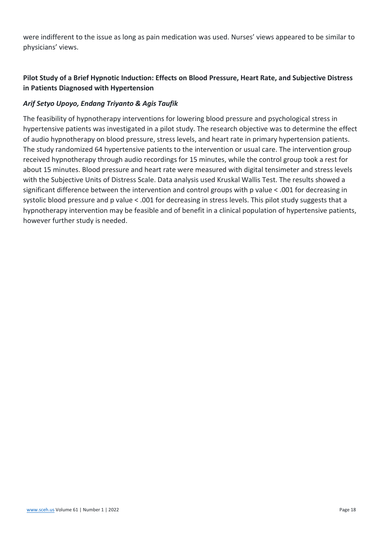were indifferent to the issue as long as pain medication was used. Nurses' views appeared to be similar to physicians' views.

## **Pilot Study of a Brief Hypnotic Induction: Effects on Blood Pressure, Heart Rate, and Subjective Distress in Patients Diagnosed with Hypertension**

#### *Arif Setyo Upoyo, Endang Triyanto & Agis Taufik*

The feasibility of hypnotherapy interventions for lowering blood pressure and psychological stress in hypertensive patients was investigated in a pilot study. The research objective was to determine the effect of audio hypnotherapy on blood pressure, stress levels, and heart rate in primary hypertension patients. The study randomized 64 hypertensive patients to the intervention or usual care. The intervention group received hypnotherapy through audio recordings for 15 minutes, while the control group took a rest for about 15 minutes. Blood pressure and heart rate were measured with digital tensimeter and stress levels with the Subjective Units of Distress Scale. Data analysis used Kruskal Wallis Test. The results showed a significant difference between the intervention and control groups with p value < .001 for decreasing in systolic blood pressure and p value < .001 for decreasing in stress levels. This pilot study suggests that a hypnotherapy intervention may be feasible and of benefit in a clinical population of hypertensive patients, however further study is needed.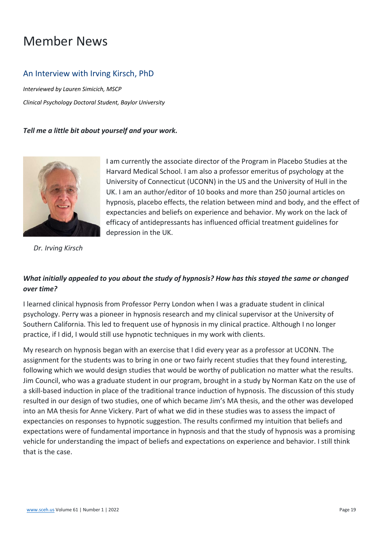# <span id="page-18-0"></span>Member News

## <span id="page-18-1"></span>An Interview with Irving Kirsch, PhD

*Interviewed by Lauren Simicich, MSCP Clinical Psychology Doctoral Student, Baylor University*

#### *Tell me a little bit about yourself and your work.*



*Dr. Irving Kirsch*

I am currently the associate director of the Program in Placebo Studies at the Harvard Medical School. I am also a professor emeritus of psychology at the University of Connecticut (UCONN) in the US and the University of Hull in the UK. I am an author/editor of 10 books and more than 250 journal articles on hypnosis, placebo effects, the relation between mind and body, and the effect of expectancies and beliefs on experience and behavior. My work on the lack of efficacy of antidepressants has influenced official treatment guidelines for depression in the UK.

## *What initially appealed to you about the study of hypnosis? How has this stayed the same or changed over time?*

I learned clinical hypnosis from Professor Perry London when I was a graduate student in clinical psychology. Perry was a pioneer in hypnosis research and my clinical supervisor at the University of Southern California. This led to frequent use of hypnosis in my clinical practice. Although I no longer practice, if I did, I would still use hypnotic techniques in my work with clients.

My research on hypnosis began with an exercise that I did every year as a professor at UCONN. The assignment for the students was to bring in one or two fairly recent studies that they found interesting, following which we would design studies that would be worthy of publication no matter what the results. Jim Council, who was a graduate student in our program, brought in a study by Norman Katz on the use of a skill-based induction in place of the traditional trance induction of hypnosis. The discussion of this study resulted in our design of two studies, one of which became Jim's MA thesis, and the other was developed into an MA thesis for Anne Vickery. Part of what we did in these studies was to assess the impact of expectancies on responses to hypnotic suggestion. The results confirmed my intuition that beliefs and expectations were of fundamental importance in hypnosis and that the study of hypnosis was a promising vehicle for understanding the impact of beliefs and expectations on experience and behavior. I still think that is the case.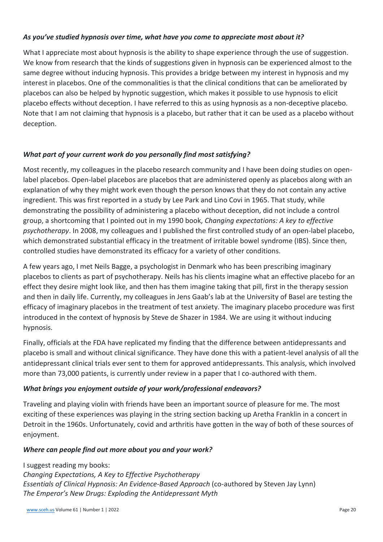#### *As you've studied hypnosis over time, what have you come to appreciate most about it?*

What I appreciate most about hypnosis is the ability to shape experience through the use of suggestion. We know from research that the kinds of suggestions given in hypnosis can be experienced almost to the same degree without inducing hypnosis. This provides a bridge between my interest in hypnosis and my interest in placebos. One of the commonalities is that the clinical conditions that can be ameliorated by placebos can also be helped by hypnotic suggestion, which makes it possible to use hypnosis to elicit placebo effects without deception. I have referred to this as using hypnosis as a non-deceptive placebo. Note that I am not claiming that hypnosis is a placebo, but rather that it can be used as a placebo without deception.

#### *What part of your current work do you personally find most satisfying?*

Most recently, my colleagues in the placebo research community and I have been doing studies on openlabel placebos. Open-label placebos are placebos that are administered openly as placebos along with an explanation of why they might work even though the person knows that they do not contain any active ingredient. This was first reported in a study by Lee Park and Lino Covi in 1965. That study, while demonstrating the possibility of administering a placebo without deception, did not include a control group, a shortcoming that I pointed out in my 1990 book, *Changing expectations: A key to effective psychotherapy*. In 2008, my colleagues and I published the first controlled study of an open-label placebo, which demonstrated substantial efficacy in the treatment of irritable bowel syndrome (IBS). Since then, controlled studies have demonstrated its efficacy for a variety of other conditions.

A few years ago, I met Neils Bagge, a psychologist in Denmark who has been prescribing imaginary placebos to clients as part of psychotherapy. Neils has his clients imagine what an effective placebo for an effect they desire might look like, and then has them imagine taking that pill, first in the therapy session and then in daily life. Currently, my colleagues in Jens Gaab's lab at the University of Basel are testing the efficacy of imaginary placebos in the treatment of test anxiety. The imaginary placebo procedure was first introduced in the context of hypnosis by Steve de Shazer in 1984. We are using it without inducing hypnosis.

Finally, officials at the FDA have replicated my finding that the difference between antidepressants and placebo is small and without clinical significance. They have done this with a patient-level analysis of all the antidepressant clinical trials ever sent to them for approved antidepressants. This analysis, which involved more than 73,000 patients, is currently under review in a paper that I co-authored with them.

#### *What brings you enjoyment outside of your work/professional endeavors?*

Traveling and playing violin with friends have been an important source of pleasure for me. The most exciting of these experiences was playing in the string section backing up Aretha Franklin in a concert in Detroit in the 1960s. Unfortunately, covid and arthritis have gotten in the way of both of these sources of enjoyment.

#### *Where can people find out more about you and your work?*

I suggest reading my books: *Changing Expectations, A Key to Effective Psychotherapy Essentials of Clinical Hypnosis: An Evidence-Based Approach* (co-authored by Steven Jay Lynn) *The Emperor's New Drugs: Exploding the Antidepressant Myth*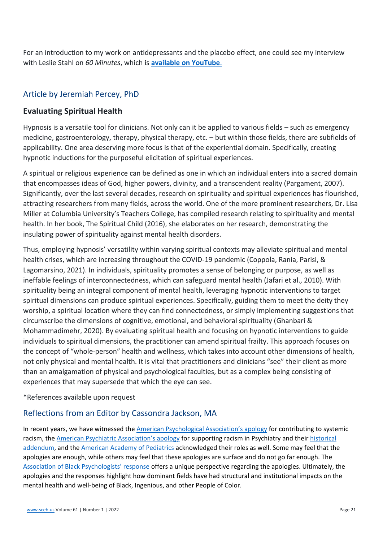For an introduction to my work on antidepressants and the placebo effect, one could see my interview with Leslie Stahl on *60 Minutes*, which is **[available on YouTube](https://www.youtube.com/watch?v=Zihdr36WVi4)**.

## <span id="page-20-0"></span>Article by Jeremiah Percey, PhD

## **Evaluating Spiritual Health**

Hypnosis is a versatile tool for clinicians. Not only can it be applied to various fields – such as emergency medicine, gastroenterology, therapy, physical therapy, etc. – but within those fields, there are subfields of applicability. One area deserving more focus is that of the experiential domain. Specifically, creating hypnotic inductions for the purposeful elicitation of spiritual experiences.

A spiritual or religious experience can be defined as one in which an individual enters into a sacred domain that encompasses ideas of God, higher powers, divinity, and a transcendent reality (Pargament, 2007). Significantly, over the last several decades, research on spirituality and spiritual experiences has flourished, attracting researchers from many fields, across the world. One of the more prominent researchers, Dr. Lisa Miller at Columbia University's Teachers College, has compiled research relating to spirituality and mental health. In her book, The Spiritual Child (2016), she elaborates on her research, demonstrating the insulating power of spirituality against mental health disorders.

Thus, employing hypnosis' versatility within varying spiritual contexts may alleviate spiritual and mental health crises, which are increasing throughout the COVID-19 pandemic (Coppola, Rania, Parisi, & Lagomarsino, 2021). In individuals, spirituality promotes a sense of belonging or purpose, as well as ineffable feelings of interconnectedness, which can safeguard mental health (Jafari et al., 2010). With spirituality being an integral component of mental health, leveraging hypnotic interventions to target spiritual dimensions can produce spiritual experiences. Specifically, guiding them to meet the deity they worship, a spiritual location where they can find connectedness, or simply implementing suggestions that circumscribe the dimensions of cognitive, emotional, and behavioral spirituality (Ghanbari & Mohammadimehr, 2020). By evaluating spiritual health and focusing on hypnotic interventions to guide individuals to spiritual dimensions, the practitioner can amend spiritual frailty. This approach focuses on the concept of "whole-person" health and wellness, which takes into account other dimensions of health, not only physical and mental health. It is vital that practitioners and clinicians "see" their client as more than an amalgamation of physical and psychological faculties, but as a complex being consisting of experiences that may supersede that which the eye can see.

\*References available upon request

## <span id="page-20-1"></span>Reflections from an Editor by Cassondra Jackson, MA

In recent years, we have witnessed the [American Psychological Association's apology](https://www.apa.org/about/policy/racism-apology) for contributing to systemic racism, the [American Psychiatric Association's apology](https://www.psychiatry.org/newsroom/news-releases/apa-apologizes-for-its-support-of-racism-in-psychiatry) for supporting racism in Psychiatry and their [historical](https://www.psychiatry.org/newsroom/historical-addendum-to-apa-apology)  [addendum,](https://www.psychiatry.org/newsroom/historical-addendum-to-apa-apology) and the [American Academy of Pediatrics](https://publications.aap.org/aapnews/news/6495) acknowledged their roles as well. Some may feel that the apologies are enough, while others may feel that these apologies are surface and do not go far enough. The [Association of Black Psychologists' response](https://abpsi.org/wp-content/uploads/2021/11/ABPsi-Full-Statement.pdf) offers a unique perspective regarding the apologies. Ultimately, the apologies and the responses highlight how dominant fields have had structural and institutional impacts on the mental health and well-being of Black, Ingenious, and other People of Color.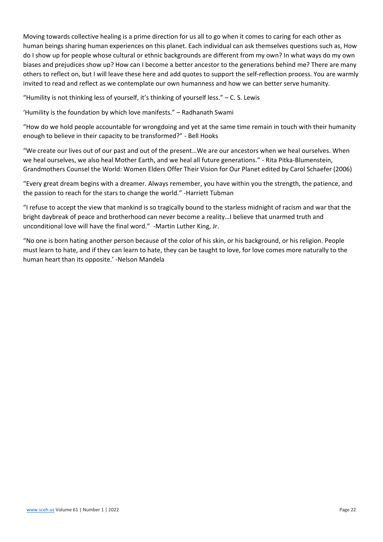Moving towards collective healing is a prime direction for us all to go when it comes to caring for each other as human beings sharing human experiences on this planet. Each individual can ask themselves questions such as, How do I show up for people whose cultural or ethnic backgrounds are different from my own? In what ways do my own biases and prejudices show up? How can I become a better ancestor to the generations behind me? There are many others to reflect on, but I will leave these here and add quotes to support the self-reflection process. You are warmly invited to read and reflect as we contemplate our own humanness and how we can better serve humanity.

"Humility is not thinking less of yourself, it's thinking of yourself less." – C. S. Lewis

'Humility is the foundation by which love manifests." – Radhanath Swami

"How do we hold people accountable for wrongdoing and yet at the same time remain in touch with their humanity enough to believe in their capacity to be transformed?" - Bell Hooks

"We create our lives out of our past and out of the present…We are our ancestors when we heal ourselves. When we heal ourselves, we also heal Mother Earth, and we heal all future generations." - Rita Pitka-Blumenstein, Grandmothers Counsel the World: Women Elders Offer Their Vision for Our Planet edited by Carol Schaefer (2006)

"Every great dream begins with a dreamer. Always remember, you have within you the strength, the patience, and the passion to reach for the stars to change the world." -Harriett Tubman

"I refuse to accept the view that mankind is so tragically bound to the starless midnight of racism and war that the bright daybreak of peace and brotherhood can never become a reality…I believe that unarmed truth and unconditional love will have the final word." -Martin Luther King, Jr.

"No one is born hating another person because of the color of his skin, or his background, or his religion. People must learn to hate, and if they can learn to hate, they can be taught to love, for love comes more naturally to the human heart than its opposite.' -Nelson Mandela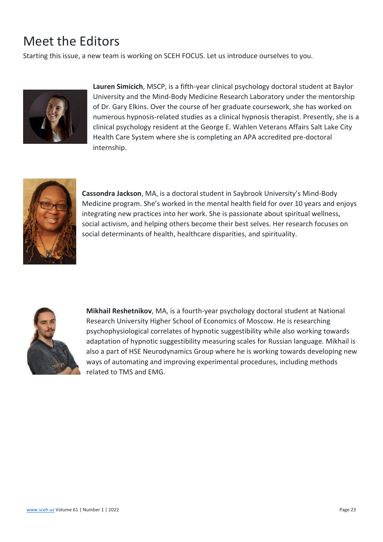# <span id="page-22-0"></span>Meet the Editors

Starting this issue, a new team is working on SCEH FOCUS. Let us introduce ourselves to you.



**Lauren Simicich**, MSCP, is a fifth-year clinical psychology doctoral student at Baylor University and the Mind-Body Medicine Research Laboratory under the mentorship of Dr. Gary Elkins. Over the course of her graduate coursework, she has worked on numerous hypnosis-related studies as a clinical hypnosis therapist. Presently, she is a clinical psychology resident at the George E. Wahlen Veterans Affairs Salt Lake City Health Care System where she is completing an APA accredited pre-doctoral internship.



**Cassondra Jackson**, MA, is a doctoral student in Saybrook University's Mind-Body Medicine program. She's worked in the mental health field for over 10 years and enjoys integrating new practices into her work. She is passionate about spiritual wellness, social activism, and helping others become their best selves. Her research focuses on social determinants of health, healthcare disparities, and spirituality.



**Mikhail Reshetnikov**, MA, is a fourth-year psychology doctoral student at National Research University Higher School of Economics of Moscow. He is researching psychophysiological correlates of hypnotic suggestibility while also working towards adaptation of hypnotic suggestibility measuring scales for Russian language. Mikhail is also a part of HSE Neurodynamics Group where he is working towards developing new ways of automating and improving experimental procedures, including methods related to TMS and EMG.